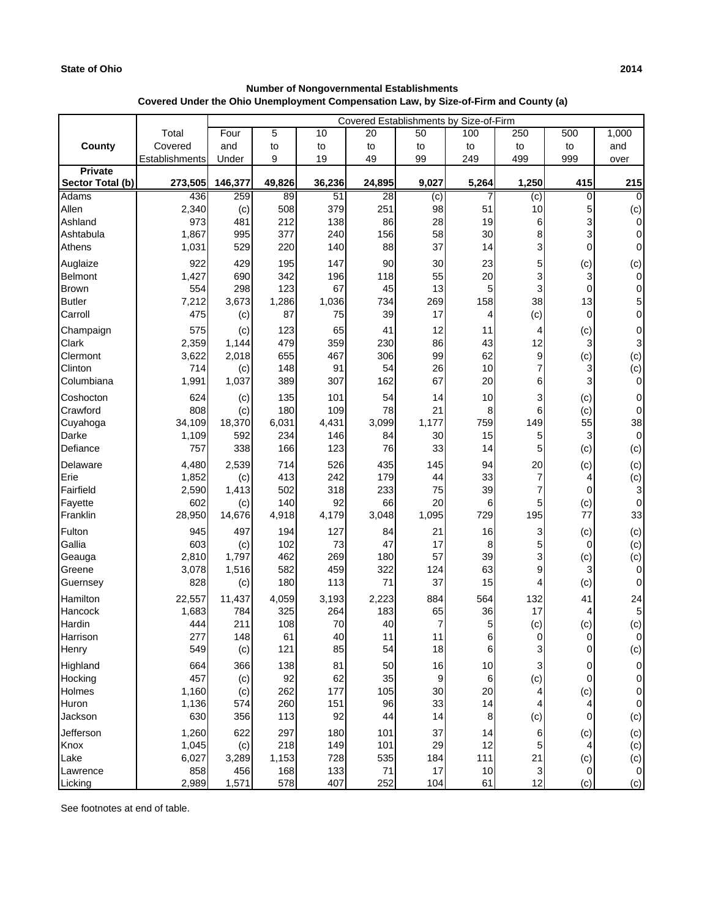## **State of Ohio 2014**

## **Covered Under the Ohio Unemployment Compensation Law, by Size-of-Firm and County (a) Number of Nongovernmental Establishments**

|                                    |                | Covered Establishments by Size-of-Firm |              |              |             |                |           |                |             |                       |
|------------------------------------|----------------|----------------------------------------|--------------|--------------|-------------|----------------|-----------|----------------|-------------|-----------------------|
|                                    | Total          | Four                                   | 5            | 10           | 20          | 50             | 100       | 250            | 500         | 1,000                 |
| County                             | Covered        | and                                    | to           | to           | to          | to             | to        | to             | to          | and                   |
|                                    | Establishments | Under                                  | 9            | 19           | 49          | 99             | 249       | 499            | 999         | over                  |
| <b>Private</b><br>Sector Total (b) | 273,505        | 146,377                                | 49,826       | 36,236       | 24,895      | 9,027          | 5,264     | 1,250          | 415         | 215                   |
| Adams                              | 436            | 259                                    | 89           | 51           | 28          | (c)            | 7         | $\overline{c}$ | 0           | $\Omega$              |
| Allen                              | 2,340          | (c)                                    | 508          | 379          | 251         | 98             | 51        | 10             | 5           | (c)                   |
| Ashland                            | 973            | 481                                    | 212          | 138          | 86          | 28             | 19        | 6              | 3           | 0                     |
| Ashtabula                          | 1,867          | 995                                    | 377          | 240          | 156         | 58             | 30        | 8              | 3           | $\mathbf 0$           |
| Athens                             | 1,031          | 529                                    | 220          | 140          | 88          | 37             | 14        | 3              | $\mathbf 0$ | 0                     |
| Auglaize                           | 922            | 429                                    | 195          | 147          | 90          | 30             | 23        | 5              | (c)         | (c)                   |
| Belmont                            | 1,427          | 690                                    | 342          | 196          | 118         | 55             | 20        | 3              | 3           | $\mathbf 0$           |
| <b>Brown</b>                       | 554            | 298                                    | 123          | 67           | 45          | 13             | 5         | 3              | 0           | 0                     |
| <b>Butler</b>                      | 7,212          | 3,673                                  | 1,286        | 1,036        | 734         | 269            | 158       | 38             | 13          | 5                     |
| Carroll                            | 475            | (c)                                    | 87           | 75           | 39          | 17             | 4         | (c)            | $\mathbf 0$ | $\mathbf 0$           |
| Champaign                          | 575            | (c)                                    | 123          | 65           | 41          | 12             | 11        | 4              | (c)         | 0                     |
| <b>Clark</b>                       | 2,359          | 1,144                                  | 479          | 359          | 230         | 86             | 43        | 12             | 3           | 3                     |
| Clermont                           | 3,622          | 2,018                                  | 655          | 467          | 306         | 99             | 62        | 9              | (c)         | (c)                   |
| Clinton                            | 714            | (c)                                    | 148          | 91           | 54          | 26             | 10        | $\overline{7}$ | 3           | (c)                   |
| Columbiana                         | 1,991          | 1,037                                  | 389          | 307          | 162         | 67             | 20        | 6              | 3           | $\mathbf 0$           |
| Coshocton                          | 624            | (c)                                    | 135          | 101          | 54          | 14             | 10        | 3              | (c)         | 0                     |
| Crawford                           | 808            | (c)                                    | 180          | 109          | 78          | 21             | 8         | 6              | (c)         | 0                     |
| Cuyahoga<br>Darke                  | 34,109         | 18,370<br>592                          | 6,031<br>234 | 4,431<br>146 | 3,099<br>84 | 1,177<br>30    | 759<br>15 | 149            | 55          | 38<br>$\mathbf 0$     |
| Defiance                           | 1,109<br>757   | 338                                    | 166          | 123          | 76          | 33             | 14        | 5<br>5         | 3<br>(c)    | (c)                   |
| Delaware                           | 4,480          | 2,539                                  | 714          | 526          | 435         | 145            | 94        | 20             |             |                       |
| Erie                               | 1,852          | (c)                                    | 413          | 242          | 179         | 44             | 33        | 7              | (c)<br>4    | (c)<br>(c)            |
| Fairfield                          | 2,590          | 1,413                                  | 502          | 318          | 233         | 75             | 39        | 7              | 0           | 3                     |
| Fayette                            | 602            | (c)                                    | 140          | 92           | 66          | 20             | 6         | 5              | (c)         | 0                     |
| Franklin                           | 28,950         | 14,676                                 | 4,918        | 4,179        | 3,048       | 1,095          | 729       | 195            | 77          | 33                    |
| Fulton                             | 945            | 497                                    | 194          | 127          | 84          | 21             | 16        | 3              | (c)         | (c)                   |
| Gallia                             | 603            | (c)                                    | 102          | 73           | 47          | 17             | 8         | 5              | 0           | (c)                   |
| Geauga                             | 2,810          | 1,797                                  | 462          | 269          | 180         | 57             | 39        | 3              | (c)         | (c)                   |
| Greene                             | 3,078          | 1,516                                  | 582          | 459          | 322         | 124            | 63        | 9              | 3           | 0                     |
| Guernsey                           | 828            | (c)                                    | 180          | 113          | 71          | 37             | 15        | 4              | (c)         | $\Omega$              |
| <b>Hamilton</b>                    | 22,557         | 11,437                                 | 4,059        | 3,193        | 2,223       | 884            | 564       | 132            | 41          | 24                    |
| Hancock                            | 1,683          | 784                                    | 325          | 264          | 183         | 65             | 36        | 17             | 4           | 5                     |
| Hardin                             | 444            | 211<br>148                             | 108          | 70<br>40     | 40          | $\overline{7}$ | 5         | (c)            | (c)         | (c)                   |
| Harrison<br>Henry                  | 277<br>549     | (c)                                    | 61<br>121    | 85           | 11<br>54    | 11<br>18       | 6<br>6    | 0<br>3         | 0<br>0      | $\overline{0}$<br>(c) |
| Highland                           | 664            | 366                                    | 138          | 81           | 50          | 16             | 10        | 3              | 0           | 0                     |
| Hocking                            | 457            | (c)                                    | 92           | 62           | 35          | 9              | 6         | (c)            | 0           | 0                     |
| Holmes                             | 1,160          | (c)                                    | 262          | 177          | 105         | 30             | 20        | 4              | (c)         | 0                     |
| Huron                              | 1,136          | 574                                    | 260          | 151          | 96          | 33             | 14        | 4              | 4           | 0                     |
| Jackson                            | 630            | 356                                    | 113          | 92           | 44          | 14             | 8         | (c)            | 0           | (c)                   |
| Jefferson                          | 1,260          | 622                                    | 297          | 180          | 101         | 37             | 14        | 6              | (c)         | (c)                   |
| Knox                               | 1,045          | (c)                                    | 218          | 149          | 101         | 29             | 12        | 5              | 4           | (c)                   |
| Lake                               | 6,027          | 3,289                                  | 1,153        | 728          | 535         | 184            | 111       | 21             | (c)         | (c)                   |
| Lawrence                           | 858            | 456                                    | 168          | 133          | 71          | 17             | 10        | 3              | 0           | 0                     |
| Licking                            | 2,989          | 1,571                                  | 578          | 407          | 252         | 104            | 61        | 12             | (c)         | (c)                   |

See footnotes at end of table.